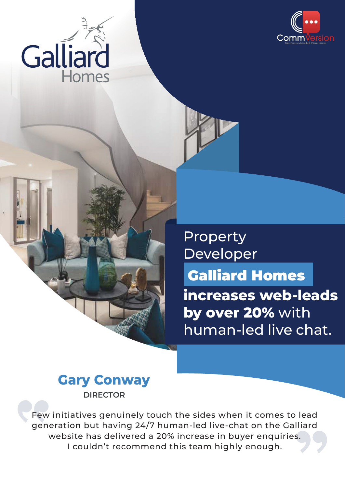



Property Developer

Galliard Homes

**increases web-leads by over 20%** with human-led live chat.



lead<br>|liard<br>|s. Few initiatives genuinely touch the sides when it comes to lead generation but having 24/7 human-led live-chat on the Galliard website has delivered a 20% increase in buyer enquiries. I couldn't recommend this team highly enough.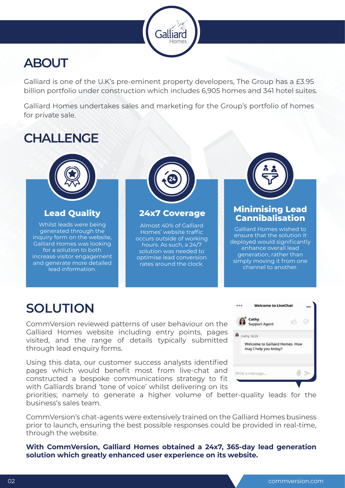# **ABOUT**

Galliard is one of the U.K's pre-eminent property developers, The Group has a £3.95 billion portfolio under construction which includes 6,905 homes and 341 hotel suites.

Galliard

Galliard Homes undertakes sales and marketing for the Group's portfolio of homes for private sale.

# **CHALLENGE**



Whilst leads were being generated through the inquiry form on the website, Galliard Homes was looking for a solution to both increase visitor engagement and generate more detailed lead information.



### **Lead Quality 24x7 Coverage**

Almost 40% of Galliard Homes' website traffic occurs outside of working hours. As such, a 24/7 solution was needed to optimise lead conversion rates around the clock.



## **Minimising Lead Cannibalisation**

Galliard Homes wished to ensure that the solution it deployed would significantly enhance overall lead generation, rather than simply moving it from one channel to another.

# **SOLUTION**

CommVersion reviewed patterns of user behaviour on the Galliard Homes website including entry points, pages visited, and the range of details typically submitted through lead enquiry forms.

Using this data, our customer success analysts identified pages which would benefit most from live-chat and constructed a bespoke communications strategy to fit with Galliards brand 'tone of voice' whilst delivering on its

|                       | <b>Welcome to LiveChat</b>                              |  |  |
|-----------------------|---------------------------------------------------------|--|--|
|                       | Cathy<br>Support Agent                                  |  |  |
| $\bullet$ cathy 18:26 |                                                         |  |  |
|                       | Welcome to Galliard Homes. How<br>may I help you today? |  |  |
|                       | Nrite a message                                         |  |  |

priorities; namely to generate a higher volume of better-quality leads for the business's sales team.

CommVersion's chat-agents were extensively trained on the Galliard Homes business prior to launch, ensuring the best possible responses could be provided in real-time, through the website.

**With CommVersion, Galliard Homes obtained a 24x7, 365-day lead generation solution which greatly enhanced user experience on its website.**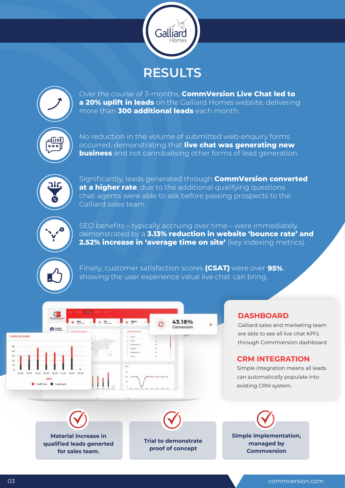



Over the course of 3-months, **CommVersion Live Chat led to a 20% uplift in leads** on the Galliard Homes website, delivering more than **300 additional leads** each month.



No reduction in the volume of submitted web-enquiry forms occurred, demonstrating that **live chat was generating new business** and not cannibalising other forms of lead generation.



Significantly, leads generated through **CommVersion converted at a higher rate**, due to the additional qualifying questions chat-agents were able to ask before passing prospects to the Galliard sales team.



SEO benefits – typically accruing over time – were immediately demonstrated by a **3.13% reduction in website 'bounce rate' and 2.52% increase in 'average time on site'** (key indexing metrics).



Finally, customer satisfaction scores **(CSAT)** were over **95%** , showing the user experience value live chat can bring.



#### **DASHBOARD**

Galliard sales and marketing team are able to see all live chat KPI's through CommVersion dashboard

### **CRM INTEGRATION**

Simple integration means all leads can automatically populate into existing CRM system.





**Trial to demonstrate proof of concept** 

**Simple implementation, managed by Commversion**